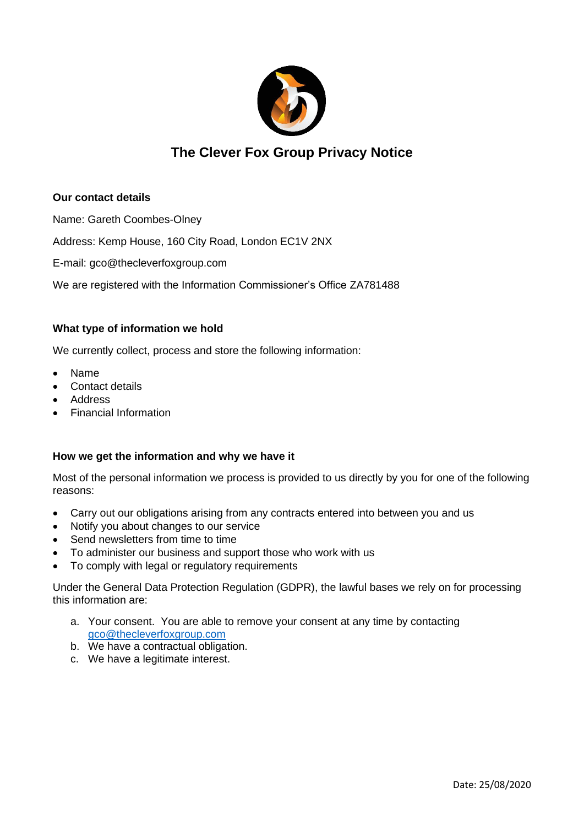

# **The Clever Fox Group Privacy Notice**

## **Our contact details**

Name: Gareth Coombes-Olney

Address: Kemp House, 160 City Road, London EC1V 2NX

E-mail: gco@thecleverfoxgroup.com

We are registered with the Information Commissioner's Office ZA781488

## **What type of information we hold**

We currently collect, process and store the following information:

- Name
- Contact details
- Address
- Financial Information

## **How we get the information and why we have it**

Most of the personal information we process is provided to us directly by you for one of the following reasons:

- Carry out our obligations arising from any contracts entered into between you and us
- Notify you about changes to our service
- Send newsletters from time to time
- To administer our business and support those who work with us
- To comply with legal or regulatory requirements

Under the General Data Protection Regulation (GDPR), the lawful bases we rely on for processing this information are:

- a. Your consent. You are able to remove your consent at any time by contacting [gco@thecleverfoxgroup.com](mailto:gco@thecleverfoxgroup.com)
- b. We have a contractual obligation.
- c. We have a legitimate interest.